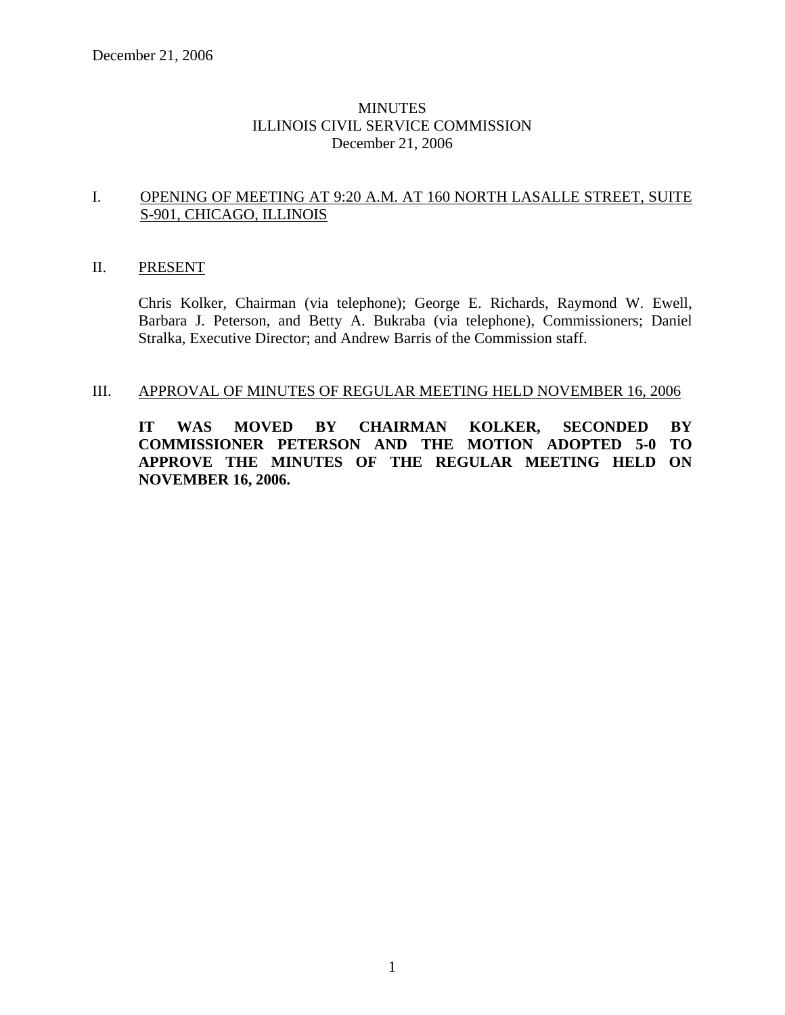# **MINUTES** ILLINOIS CIVIL SERVICE COMMISSION December 21, 2006

#### I. OPENING OF MEETING AT 9:20 A.M. AT 160 NORTH LASALLE STREET, SUITE S-901, CHICAGO, ILLINOIS

#### II. PRESENT

Chris Kolker, Chairman (via telephone); George E. Richards, Raymond W. Ewell, Barbara J. Peterson, and Betty A. Bukraba (via telephone), Commissioners; Daniel Stralka, Executive Director; and Andrew Barris of the Commission staff.

#### III. APPROVAL OF MINUTES OF REGULAR MEETING HELD NOVEMBER 16, 2006

**IT WAS MOVED BY CHAIRMAN KOLKER, SECONDED BY COMMISSIONER PETERSON AND THE MOTION ADOPTED 5-0 TO APPROVE THE MINUTES OF THE REGULAR MEETING HELD ON NOVEMBER 16, 2006.**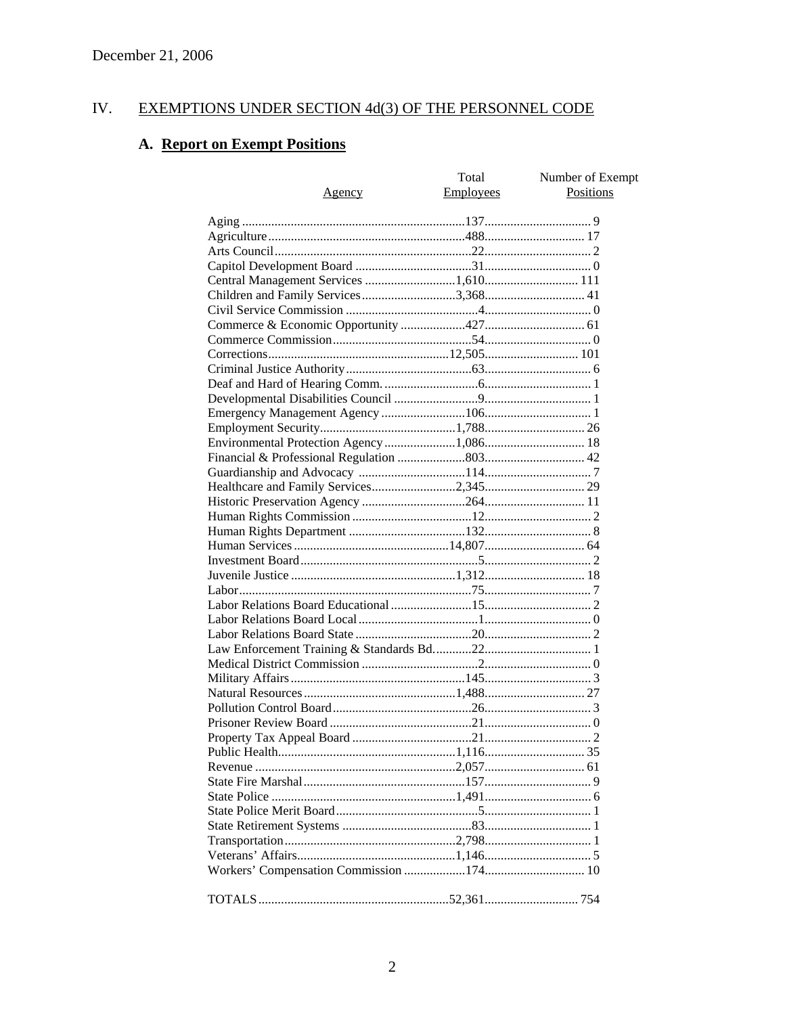#### IV. **EXEMPTIONS UNDER SECTION 4d(3) OF THE PERSONNEL CODE**

# A. Report on Exempt Positions

|                                          | Total     | Number of Exempt |
|------------------------------------------|-----------|------------------|
| <u>Agency</u>                            | Employees | Positions        |
|                                          |           |                  |
|                                          |           |                  |
|                                          |           |                  |
|                                          |           |                  |
|                                          |           |                  |
|                                          |           |                  |
|                                          |           |                  |
|                                          |           |                  |
|                                          |           |                  |
|                                          |           |                  |
|                                          |           |                  |
|                                          |           |                  |
|                                          |           |                  |
|                                          |           |                  |
|                                          |           |                  |
|                                          |           |                  |
| Environmental Protection Agency 1,086 18 |           |                  |
|                                          |           |                  |
|                                          |           |                  |
|                                          |           |                  |
|                                          |           |                  |
|                                          |           |                  |
|                                          |           |                  |
|                                          |           |                  |
|                                          |           |                  |
|                                          |           |                  |
|                                          |           |                  |
|                                          |           |                  |
|                                          |           |                  |
|                                          |           |                  |
|                                          |           |                  |
|                                          |           |                  |
|                                          |           |                  |
|                                          |           |                  |
|                                          |           |                  |
|                                          |           |                  |
|                                          |           |                  |
|                                          |           |                  |
|                                          |           |                  |
|                                          |           |                  |
|                                          |           |                  |
|                                          |           |                  |
|                                          |           |                  |
|                                          |           |                  |
|                                          |           |                  |
|                                          |           |                  |
|                                          |           |                  |
|                                          |           |                  |
|                                          |           |                  |
|                                          |           |                  |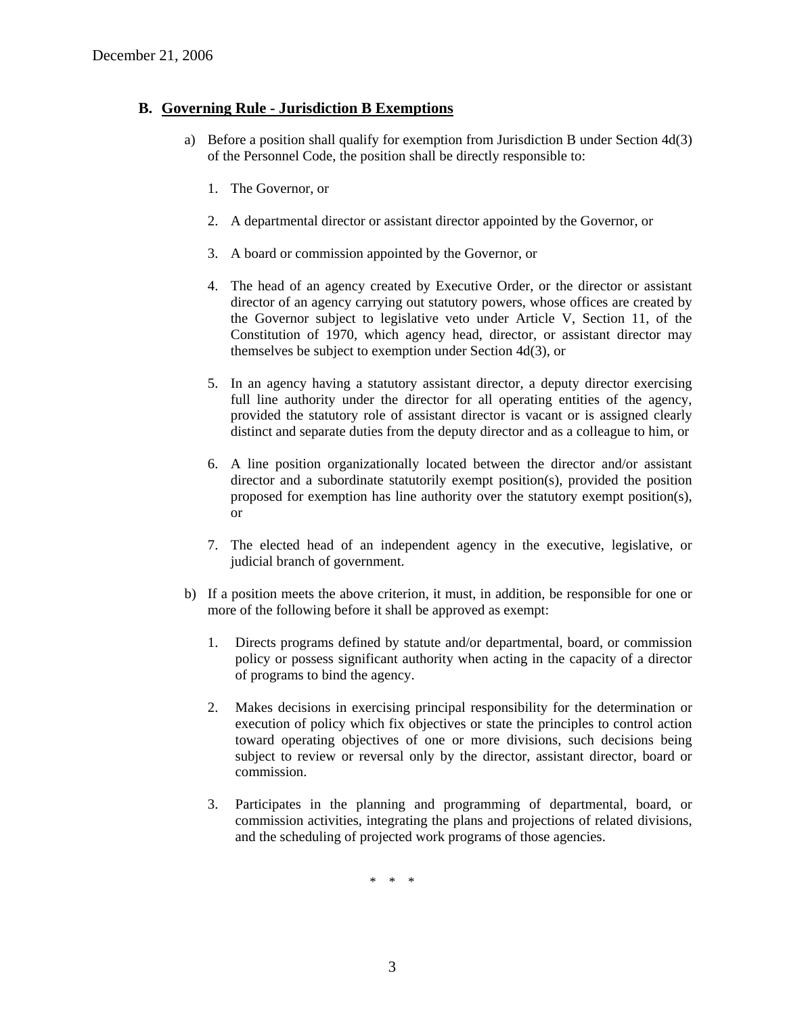## **B. Governing Rule - Jurisdiction B Exemptions**

- a) Before a position shall qualify for exemption from Jurisdiction B under Section 4d(3) of the Personnel Code, the position shall be directly responsible to:
	- 1. The Governor, or
	- 2. A departmental director or assistant director appointed by the Governor, or
	- 3. A board or commission appointed by the Governor, or
	- 4. The head of an agency created by Executive Order, or the director or assistant director of an agency carrying out statutory powers, whose offices are created by the Governor subject to legislative veto under Article V, Section 11, of the Constitution of 1970, which agency head, director, or assistant director may themselves be subject to exemption under Section 4d(3), or
	- 5. In an agency having a statutory assistant director, a deputy director exercising full line authority under the director for all operating entities of the agency, provided the statutory role of assistant director is vacant or is assigned clearly distinct and separate duties from the deputy director and as a colleague to him, or
	- 6. A line position organizationally located between the director and/or assistant director and a subordinate statutorily exempt position(s), provided the position proposed for exemption has line authority over the statutory exempt position(s), or
	- 7. The elected head of an independent agency in the executive, legislative, or judicial branch of government.
- b) If a position meets the above criterion, it must, in addition, be responsible for one or more of the following before it shall be approved as exempt:
	- 1. Directs programs defined by statute and/or departmental, board, or commission policy or possess significant authority when acting in the capacity of a director of programs to bind the agency.
	- 2. Makes decisions in exercising principal responsibility for the determination or execution of policy which fix objectives or state the principles to control action toward operating objectives of one or more divisions, such decisions being subject to review or reversal only by the director, assistant director, board or commission.
	- 3. Participates in the planning and programming of departmental, board, or commission activities, integrating the plans and projections of related divisions, and the scheduling of projected work programs of those agencies.

\* \* \*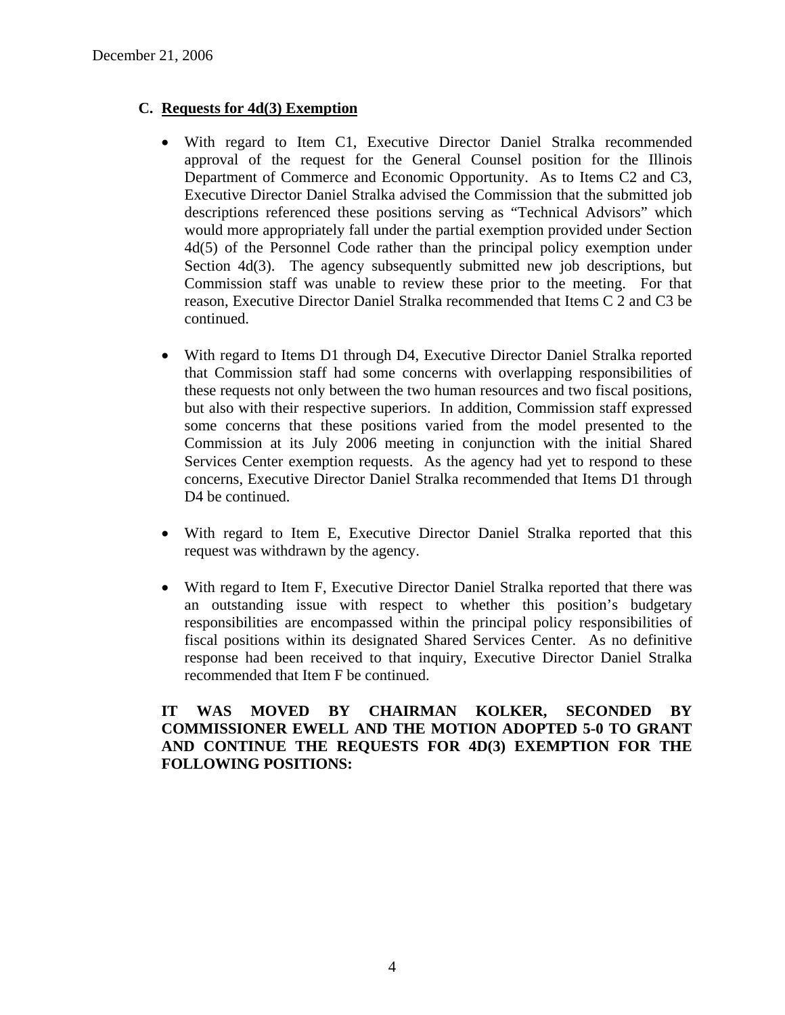# **C. Requests for 4d(3) Exemption**

- With regard to Item C1, Executive Director Daniel Stralka recommended approval of the request for the General Counsel position for the Illinois Department of Commerce and Economic Opportunity. As to Items C2 and C3, Executive Director Daniel Stralka advised the Commission that the submitted job descriptions referenced these positions serving as "Technical Advisors" which would more appropriately fall under the partial exemption provided under Section 4d(5) of the Personnel Code rather than the principal policy exemption under Section 4d(3). The agency subsequently submitted new job descriptions, but Commission staff was unable to review these prior to the meeting. For that reason, Executive Director Daniel Stralka recommended that Items C 2 and C3 be continued.
- With regard to Items D1 through D4, Executive Director Daniel Stralka reported that Commission staff had some concerns with overlapping responsibilities of these requests not only between the two human resources and two fiscal positions, but also with their respective superiors. In addition, Commission staff expressed some concerns that these positions varied from the model presented to the Commission at its July 2006 meeting in conjunction with the initial Shared Services Center exemption requests. As the agency had yet to respond to these concerns, Executive Director Daniel Stralka recommended that Items D1 through D<sub>4</sub> be continued.
- With regard to Item E, Executive Director Daniel Stralka reported that this request was withdrawn by the agency.
- With regard to Item F, Executive Director Daniel Stralka reported that there was an outstanding issue with respect to whether this position's budgetary responsibilities are encompassed within the principal policy responsibilities of fiscal positions within its designated Shared Services Center. As no definitive response had been received to that inquiry, Executive Director Daniel Stralka recommended that Item F be continued.

## **IT WAS MOVED BY CHAIRMAN KOLKER, SECONDED BY COMMISSIONER EWELL AND THE MOTION ADOPTED 5-0 TO GRANT AND CONTINUE THE REQUESTS FOR 4D(3) EXEMPTION FOR THE FOLLOWING POSITIONS:**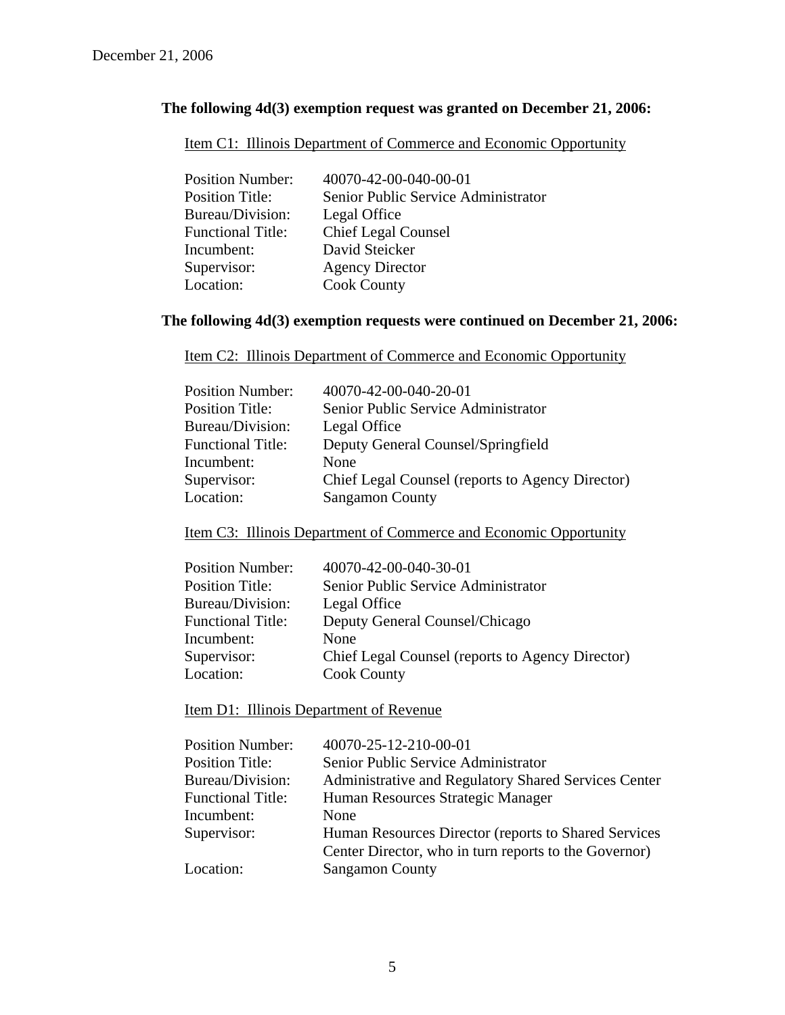# **The following 4d(3) exemption request was granted on December 21, 2006:**

Item C1: Illinois Department of Commerce and Economic Opportunity

| <b>Position Number:</b>  | 40070-42-00-040-00-01               |
|--------------------------|-------------------------------------|
| <b>Position Title:</b>   | Senior Public Service Administrator |
| Bureau/Division:         | Legal Office                        |
| <b>Functional Title:</b> | <b>Chief Legal Counsel</b>          |
| Incumbent:               | David Steicker                      |
| Supervisor:              | <b>Agency Director</b>              |
| Location:                | <b>Cook County</b>                  |

# **The following 4d(3) exemption requests were continued on December 21, 2006:**

Item C2: Illinois Department of Commerce and Economic Opportunity

| <b>Position Number:</b>  | 40070-42-00-040-20-01                            |
|--------------------------|--------------------------------------------------|
| <b>Position Title:</b>   | Senior Public Service Administrator              |
| Bureau/Division:         | Legal Office                                     |
| <b>Functional Title:</b> | Deputy General Counsel/Springfield               |
| Incumbent:               | None                                             |
| Supervisor:              | Chief Legal Counsel (reports to Agency Director) |
| Location:                | <b>Sangamon County</b>                           |
|                          |                                                  |

# Item C3: Illinois Department of Commerce and Economic Opportunity

| 40070-42-00-040-30-01                            |
|--------------------------------------------------|
| Senior Public Service Administrator              |
| Legal Office                                     |
| Deputy General Counsel/Chicago                   |
| None                                             |
| Chief Legal Counsel (reports to Agency Director) |
| <b>Cook County</b>                               |
|                                                  |

## Item D1: Illinois Department of Revenue

| <b>Position Number:</b>  | 40070-25-12-210-00-01                                 |
|--------------------------|-------------------------------------------------------|
| <b>Position Title:</b>   | Senior Public Service Administrator                   |
| Bureau/Division:         | Administrative and Regulatory Shared Services Center  |
| <b>Functional Title:</b> | Human Resources Strategic Manager                     |
| Incumbent:               | None                                                  |
| Supervisor:              | Human Resources Director (reports to Shared Services) |
|                          | Center Director, who in turn reports to the Governor) |
| Location:                | <b>Sangamon County</b>                                |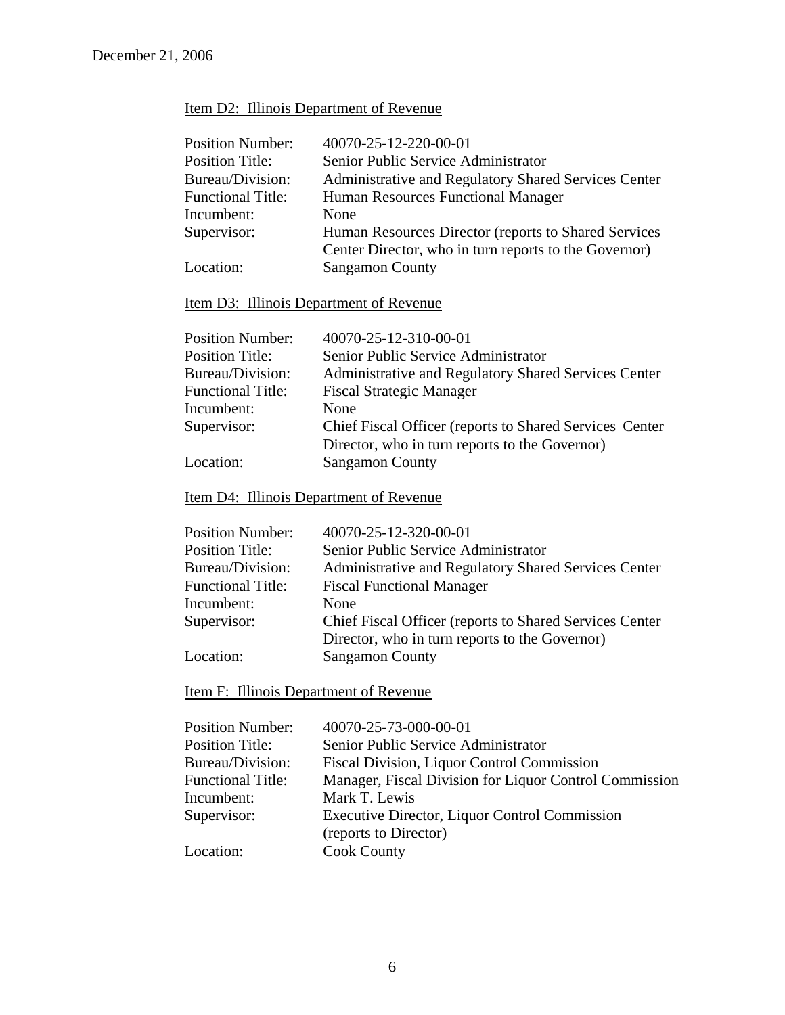# Item D2: Illinois Department of Revenue

| <b>Position Number:</b>  | 40070-25-12-220-00-01                                 |
|--------------------------|-------------------------------------------------------|
| <b>Position Title:</b>   | Senior Public Service Administrator                   |
| Bureau/Division:         | Administrative and Regulatory Shared Services Center  |
| <b>Functional Title:</b> | Human Resources Functional Manager                    |
| Incumbent:               | None                                                  |
| Supervisor:              | Human Resources Director (reports to Shared Services  |
|                          | Center Director, who in turn reports to the Governor) |
| Location:                | <b>Sangamon County</b>                                |
|                          |                                                       |

# Item D3: Illinois Department of Revenue

| <b>Position Number:</b>  | 40070-25-12-310-00-01                                    |
|--------------------------|----------------------------------------------------------|
| <b>Position Title:</b>   | Senior Public Service Administrator                      |
| Bureau/Division:         | Administrative and Regulatory Shared Services Center     |
| <b>Functional Title:</b> | <b>Fiscal Strategic Manager</b>                          |
| Incumbent:               | None                                                     |
| Supervisor:              | Chief Fiscal Officer (reports to Shared Services Center) |
|                          | Director, who in turn reports to the Governor)           |
| Location:                | <b>Sangamon County</b>                                   |
|                          |                                                          |

# Item D4: Illinois Department of Revenue

| <b>Position Number:</b>  | 40070-25-12-320-00-01                                    |
|--------------------------|----------------------------------------------------------|
| <b>Position Title:</b>   | Senior Public Service Administrator                      |
| Bureau/Division:         | Administrative and Regulatory Shared Services Center     |
| <b>Functional Title:</b> | <b>Fiscal Functional Manager</b>                         |
| Incumbent:               | None                                                     |
| Supervisor:              | Chief Fiscal Officer (reports to Shared Services Center) |
|                          | Director, who in turn reports to the Governor)           |
| Location:                | <b>Sangamon County</b>                                   |

# Item F: Illinois Department of Revenue

| <b>Position Number:</b>  | 40070-25-73-000-00-01                                  |
|--------------------------|--------------------------------------------------------|
| <b>Position Title:</b>   | Senior Public Service Administrator                    |
| Bureau/Division:         | Fiscal Division, Liquor Control Commission             |
| <b>Functional Title:</b> | Manager, Fiscal Division for Liquor Control Commission |
| Incumbent:               | Mark T. Lewis                                          |
| Supervisor:              | Executive Director, Liquor Control Commission          |
|                          | (reports to Director)                                  |
| Location:                | <b>Cook County</b>                                     |
|                          |                                                        |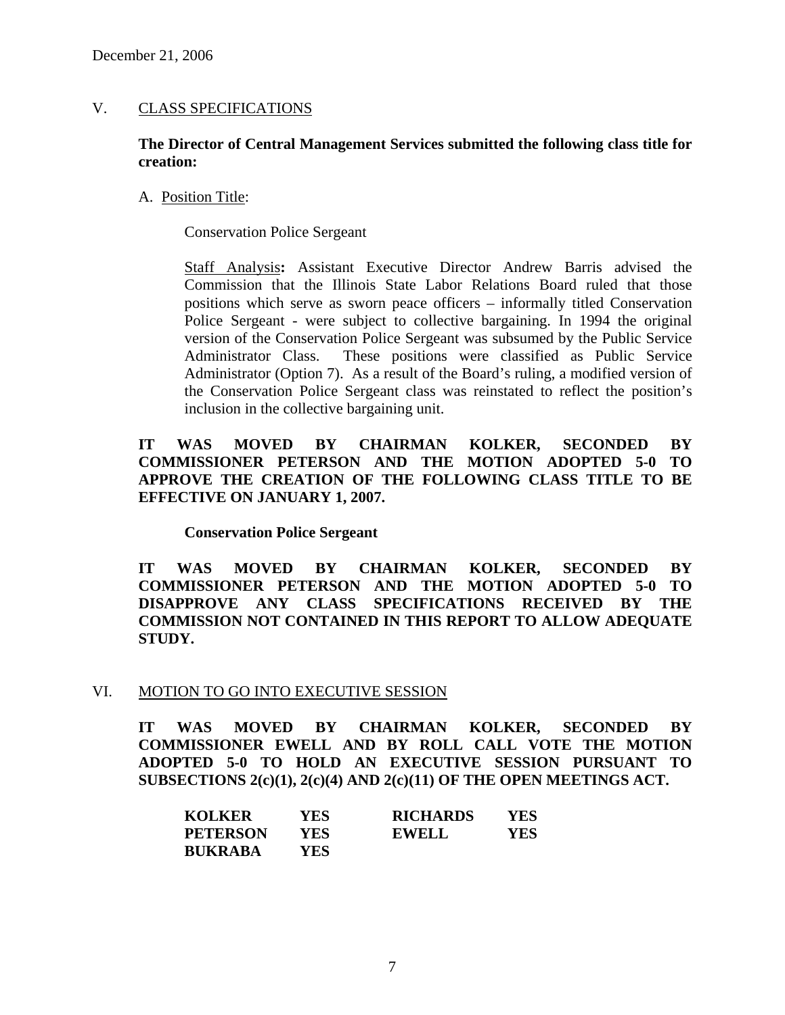# V. CLASS SPECIFICATIONS

## **The Director of Central Management Services submitted the following class title for creation:**

## A. Position Title:

Conservation Police Sergeant

Staff Analysis**:** Assistant Executive Director Andrew Barris advised the Commission that the Illinois State Labor Relations Board ruled that those positions which serve as sworn peace officers – informally titled Conservation Police Sergeant - were subject to collective bargaining. In 1994 the original version of the Conservation Police Sergeant was subsumed by the Public Service Administrator Class. These positions were classified as Public Service Administrator (Option 7). As a result of the Board's ruling, a modified version of the Conservation Police Sergeant class was reinstated to reflect the position's inclusion in the collective bargaining unit.

**IT WAS MOVED BY CHAIRMAN KOLKER, SECONDED BY COMMISSIONER PETERSON AND THE MOTION ADOPTED 5-0 TO APPROVE THE CREATION OF THE FOLLOWING CLASS TITLE TO BE EFFECTIVE ON JANUARY 1, 2007.** 

#### **Conservation Police Sergeant**

**IT WAS MOVED BY CHAIRMAN KOLKER, SECONDED BY COMMISSIONER PETERSON AND THE MOTION ADOPTED 5-0 TO DISAPPROVE ANY CLASS SPECIFICATIONS RECEIVED BY THE COMMISSION NOT CONTAINED IN THIS REPORT TO ALLOW ADEQUATE STUDY.** 

#### VI. MOTION TO GO INTO EXECUTIVE SESSION

**IT WAS MOVED BY CHAIRMAN KOLKER, SECONDED BY COMMISSIONER EWELL AND BY ROLL CALL VOTE THE MOTION ADOPTED 5-0 TO HOLD AN EXECUTIVE SESSION PURSUANT TO SUBSECTIONS 2(c)(1), 2(c)(4) AND 2(c)(11) OF THE OPEN MEETINGS ACT.** 

| <b>KOLKER</b>   | YES | <b>RICHARDS</b> | YES |
|-----------------|-----|-----------------|-----|
| <b>PETERSON</b> | YES | <b>EWELL</b>    | YES |
| <b>BUKRABA</b>  | YES |                 |     |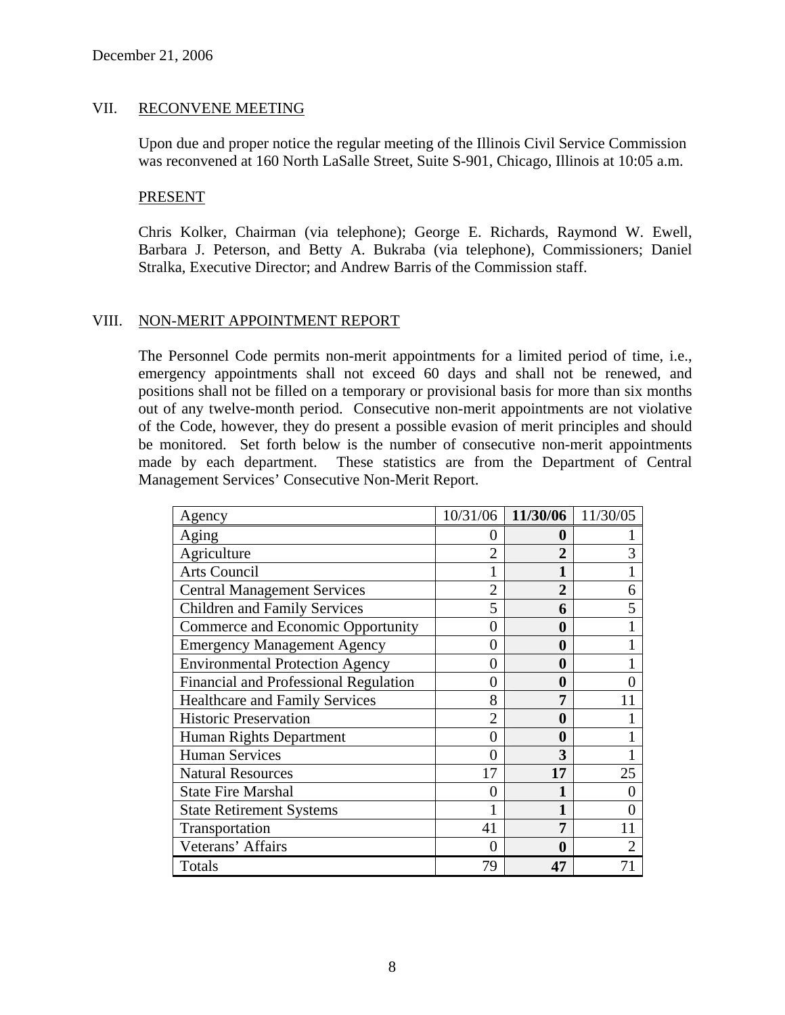## VII. RECONVENE MEETING

Upon due and proper notice the regular meeting of the Illinois Civil Service Commission was reconvened at 160 North LaSalle Street, Suite S-901, Chicago, Illinois at 10:05 a.m.

#### PRESENT

Chris Kolker, Chairman (via telephone); George E. Richards, Raymond W. Ewell, Barbara J. Peterson, and Betty A. Bukraba (via telephone), Commissioners; Daniel Stralka, Executive Director; and Andrew Barris of the Commission staff.

## VIII. NON-MERIT APPOINTMENT REPORT

The Personnel Code permits non-merit appointments for a limited period of time, i.e., emergency appointments shall not exceed 60 days and shall not be renewed, and positions shall not be filled on a temporary or provisional basis for more than six months out of any twelve-month period. Consecutive non-merit appointments are not violative of the Code, however, they do present a possible evasion of merit principles and should be monitored. Set forth below is the number of consecutive non-merit appointments made by each department. These statistics are from the Department of Central Management Services' Consecutive Non-Merit Report.

| Agency                                 | 10/31/06       | 11/30/06         | 11/30/05 |
|----------------------------------------|----------------|------------------|----------|
| Aging                                  | 0              | $\bf{0}$         |          |
| Agriculture                            |                | $\overline{2}$   | 3        |
| <b>Arts Council</b>                    |                | $\mathbf{1}$     |          |
| <b>Central Management Services</b>     | $\overline{2}$ | 2                | 6        |
| <b>Children and Family Services</b>    | 5              | 6                | 5        |
| Commerce and Economic Opportunity      | 0              | 0                |          |
| <b>Emergency Management Agency</b>     | 0              | 0                |          |
| <b>Environmental Protection Agency</b> | 0              | $\boldsymbol{0}$ |          |
| Financial and Professional Regulation  | 0              | $\boldsymbol{0}$ |          |
| <b>Healthcare and Family Services</b>  | 8              | 7                |          |
| <b>Historic Preservation</b>           |                | 0                |          |
| Human Rights Department                | 0              | $\boldsymbol{0}$ |          |
| <b>Human Services</b>                  | 0              | 3                |          |
| <b>Natural Resources</b>               | 17             | 17               | 25       |
| <b>State Fire Marshal</b>              | $\theta$       | 1                | 0        |
| <b>State Retirement Systems</b>        |                |                  |          |
| Transportation                         | 41             | 7                |          |
| Veterans' Affairs                      | $\Omega$       | $\bf{0}$         |          |
| <b>Totals</b>                          | 79             | 47               |          |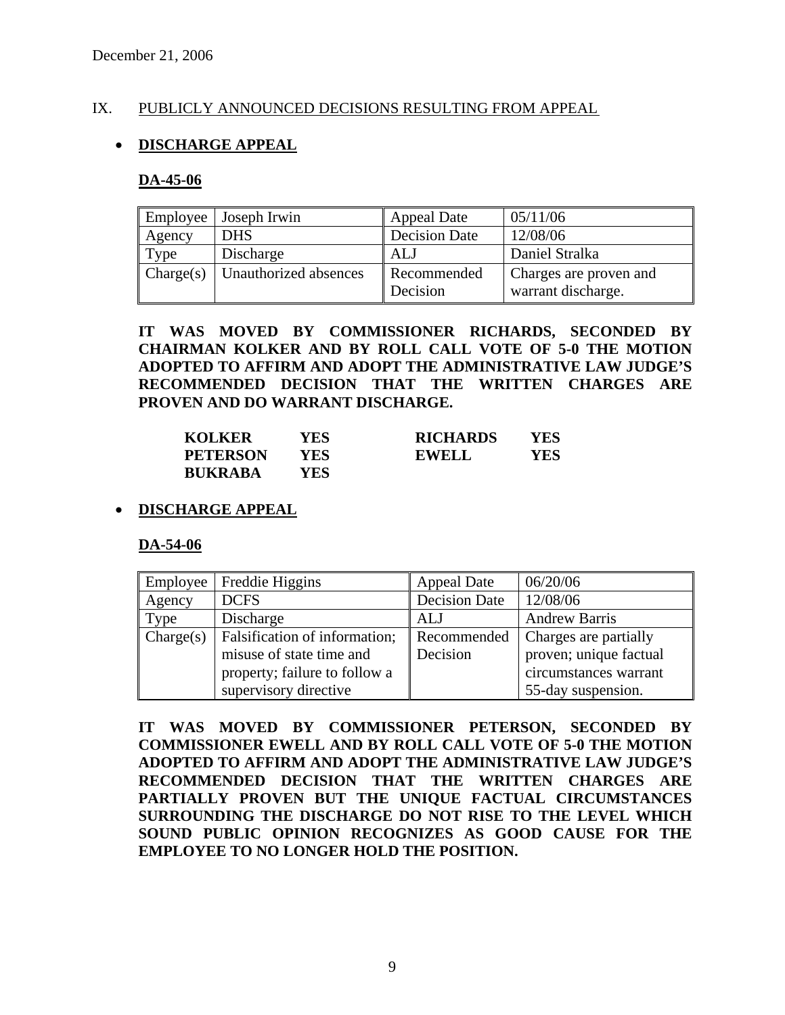## IX. PUBLICLY ANNOUNCED DECISIONS RESULTING FROM APPEAL

# • **DISCHARGE APPEAL**

#### **DA-45-06**

| Employee  | Joseph Irwin          | <b>Appeal Date</b>      | 05/11/06                                     |
|-----------|-----------------------|-------------------------|----------------------------------------------|
| Agency    | DHS                   | <b>Decision Date</b>    | 12/08/06                                     |
| Type      | Discharge             | ALJ                     | Daniel Stralka                               |
| Change(s) | Unauthorized absences | Recommended<br>Decision | Charges are proven and<br>warrant discharge. |

**IT WAS MOVED BY COMMISSIONER RICHARDS, SECONDED BY CHAIRMAN KOLKER AND BY ROLL CALL VOTE OF 5-0 THE MOTION ADOPTED TO AFFIRM AND ADOPT THE ADMINISTRATIVE LAW JUDGE'S RECOMMENDED DECISION THAT THE WRITTEN CHARGES ARE PROVEN AND DO WARRANT DISCHARGE.** 

| <b>KOLKER</b>   | YES | <b>RICHARDS</b> | YES |
|-----------------|-----|-----------------|-----|
| <b>PETERSON</b> | YES | EWELL           | YES |
| <b>BUKRABA</b>  | YES |                 |     |

• **DISCHARGE APPEAL**

**DA-54-06**

| Employee  | Freddie Higgins               | <b>Appeal Date</b>   | 06/20/06               |
|-----------|-------------------------------|----------------------|------------------------|
| Agency    | <b>DCFS</b>                   | <b>Decision Date</b> | 12/08/06               |
| Type      | Discharge                     | ALJ                  | <b>Andrew Barris</b>   |
| Change(s) | Falsification of information; | Recommended          | Charges are partially  |
|           | misuse of state time and      | Decision             | proven; unique factual |
|           | property; failure to follow a |                      | circumstances warrant  |
|           | supervisory directive         |                      | 55-day suspension.     |

**IT WAS MOVED BY COMMISSIONER PETERSON, SECONDED BY COMMISSIONER EWELL AND BY ROLL CALL VOTE OF 5-0 THE MOTION ADOPTED TO AFFIRM AND ADOPT THE ADMINISTRATIVE LAW JUDGE'S RECOMMENDED DECISION THAT THE WRITTEN CHARGES ARE PARTIALLY PROVEN BUT THE UNIQUE FACTUAL CIRCUMSTANCES SURROUNDING THE DISCHARGE DO NOT RISE TO THE LEVEL WHICH SOUND PUBLIC OPINION RECOGNIZES AS GOOD CAUSE FOR THE EMPLOYEE TO NO LONGER HOLD THE POSITION.**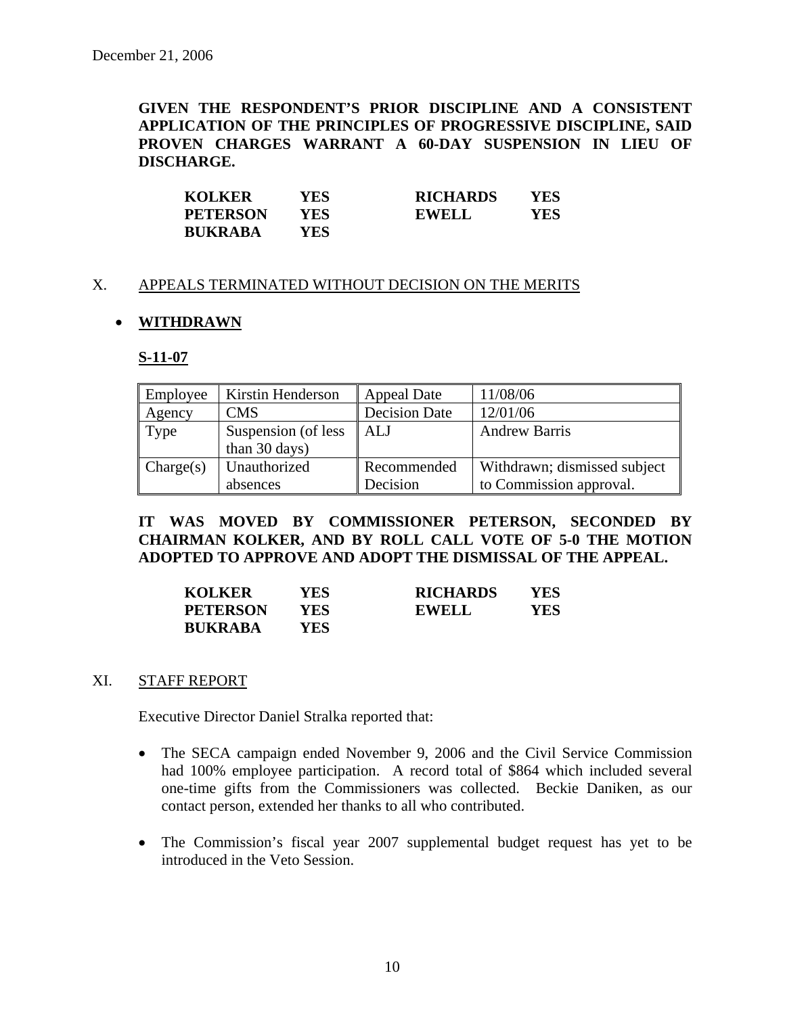**GIVEN THE RESPONDENT'S PRIOR DISCIPLINE AND A CONSISTENT APPLICATION OF THE PRINCIPLES OF PROGRESSIVE DISCIPLINE, SAID PROVEN CHARGES WARRANT A 60-DAY SUSPENSION IN LIEU OF DISCHARGE.** 

| <b>KOLKER</b>   | YES | <b>RICHARDS</b> | YES |
|-----------------|-----|-----------------|-----|
| <b>PETERSON</b> | YES | EWELL           | YES |
| <b>BUKRABA</b>  | YES |                 |     |

## X. APPEALS TERMINATED WITHOUT DECISION ON THE MERITS

## • **WITHDRAWN**

#### **S-11-07**

| Employee  | Kirstin Henderson                    | <b>Appeal Date</b>   | 11/08/06                     |
|-----------|--------------------------------------|----------------------|------------------------------|
| Agency    | <b>CMS</b>                           | <b>Decision Date</b> | 12/01/06                     |
| Type      | Suspension (of less<br>than 30 days) | ALJ                  | <b>Andrew Barris</b>         |
| Change(s) | Unauthorized                         | Recommended          | Withdrawn; dismissed subject |
|           | absences                             | Decision             | to Commission approval.      |

**IT WAS MOVED BY COMMISSIONER PETERSON, SECONDED BY CHAIRMAN KOLKER, AND BY ROLL CALL VOTE OF 5-0 THE MOTION ADOPTED TO APPROVE AND ADOPT THE DISMISSAL OF THE APPEAL.** 

| <b>KOLKER</b>   | YES | <b>RICHARDS</b> | YES |
|-----------------|-----|-----------------|-----|
| <b>PETERSON</b> | YES | <b>EWELL</b>    | YES |
| <b>BUKRABA</b>  | YES |                 |     |

#### XI. STAFF REPORT

Executive Director Daniel Stralka reported that:

- The SECA campaign ended November 9, 2006 and the Civil Service Commission had 100% employee participation. A record total of \$864 which included several one-time gifts from the Commissioners was collected. Beckie Daniken, as our contact person, extended her thanks to all who contributed.
- The Commission's fiscal year 2007 supplemental budget request has yet to be introduced in the Veto Session.